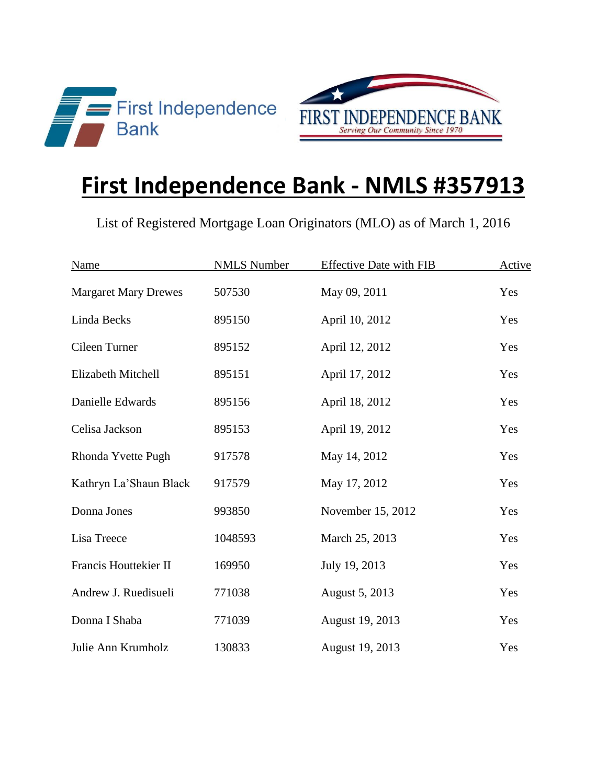

## **First Independence Bank - NMLS #357913**

List of Registered Mortgage Loan Originators (MLO) as of March 1, 2016

| Name                        | <b>NMLS Number</b> | <b>Effective Date with FIB</b> | Active |
|-----------------------------|--------------------|--------------------------------|--------|
| <b>Margaret Mary Drewes</b> | 507530             | May 09, 2011                   | Yes    |
| Linda Becks                 | 895150             | April 10, 2012                 | Yes    |
| Cileen Turner               | 895152             | April 12, 2012                 | Yes    |
| Elizabeth Mitchell          | 895151             | April 17, 2012                 | Yes    |
| Danielle Edwards            | 895156             | April 18, 2012                 | Yes    |
| Celisa Jackson              | 895153             | April 19, 2012                 | Yes    |
| Rhonda Yvette Pugh          | 917578             | May 14, 2012                   | Yes    |
| Kathryn La'Shaun Black      | 917579             | May 17, 2012                   | Yes    |
| Donna Jones                 | 993850             | November 15, 2012              | Yes    |
| Lisa Treece                 | 1048593            | March 25, 2013                 | Yes    |
| Francis Houttekier II       | 169950             | July 19, 2013                  | Yes    |
| Andrew J. Ruedisueli        | 771038             | August 5, 2013                 | Yes    |
| Donna I Shaba               | 771039             | August 19, 2013                | Yes    |
| Julie Ann Krumholz          | 130833             | August 19, 2013                | Yes    |